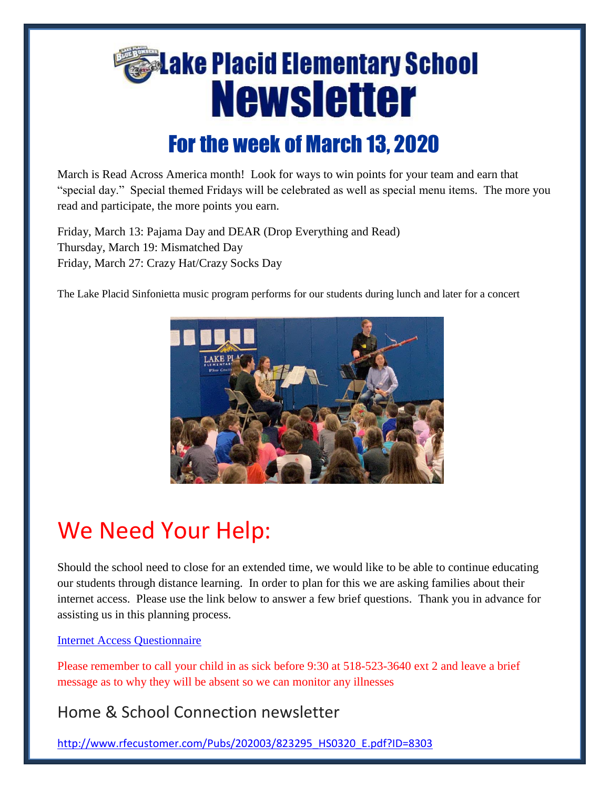

March is Read Across America month! Look for ways to win points for your team and earn that "special day." Special themed Fridays will be celebrated as well as special menu items. The more you read and participate, the more points you earn.

Friday, March 13: Pajama Day and DEAR (Drop Everything and Read) Thursday, March 19: Mismatched Day Friday, March 27: Crazy Hat/Crazy Socks Day

The Lake Placid Sinfonietta music program performs for our students during lunch and later for a concert



# We Need Your Help:

Should the school need to close for an extended time, we would like to be able to continue educating our students through distance learning. In order to plan for this we are asking families about their internet access. Please use the link below to answer a few brief questions. Thank you in advance for assisting us in this planning process.

### [Internet Access Questionnaire](https://docs.google.com/forms/d/e/1FAIpQLSfiuUAbzh_hCBXVlRcsFmiNRnLQ4BVkRyB4Sa6RshuauYcpWg/viewform?usp=sf_link)

Please remember to call your child in as sick before 9:30 at 518-523-3640 ext 2 and leave a brief message as to why they will be absent so we can monitor any illnesses

## Home & School Connection newsletter

[http://www.rfecustomer.com/Pubs/202003/823295\\_HS0320\\_E.pdf?ID=8303](http://www.rfecustomer.com/Pubs/202003/823295_HS0320_E.pdf?ID=8303)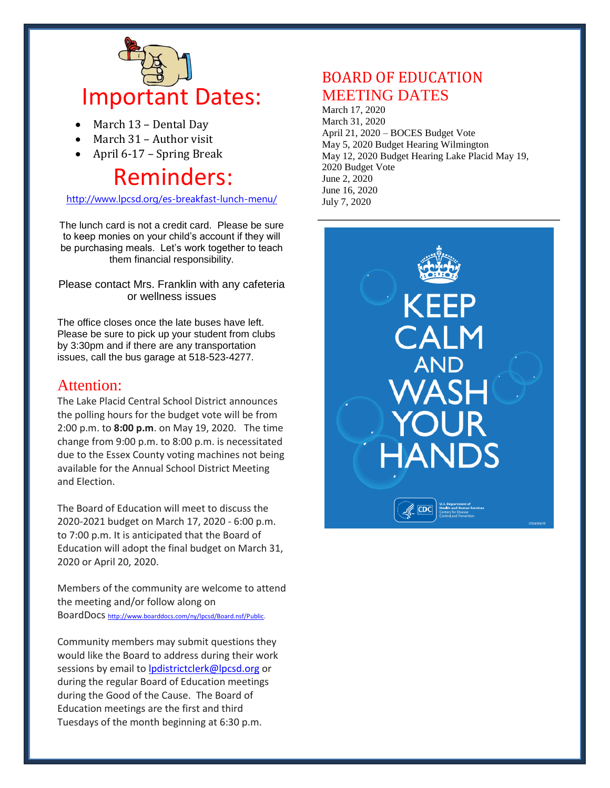

- March 13 Dental Day
- March 31 Author visit
- April 6-17 Spring Break

# Reminders:

<http://www.lpcsd.org/es-breakfast-lunch-menu/>

The lunch card is not a credit card. Please be sure to keep monies on your child's account if they will be purchasing meals. Let's work together to teach them financial responsibility.

Please contact Mrs. Franklin with any cafeteria or wellness issues

The office closes once the late buses have left. Please be sure to pick up your student from clubs by 3:30pm and if there are any transportation issues, call the bus garage at 518-523-4277.

### Attention:

The Lake Placid Central School District announces the polling hours for the budget vote will be from 2:00 p.m. to **8:00 p.m**. on May 19, 2020. The time change from 9:00 p.m. to 8:00 p.m. is necessitated due to the Essex County voting machines not being available for the Annual School District Meeting and Election.

The Board of Education will meet to discuss the 2020-2021 budget on March 17, 2020 - 6:00 p.m. to 7:00 p.m. It is anticipated that the Board of Education will adopt the final budget on March 31, 2020 or April 20, 2020.

Members of the community are welcome to attend the meeting and/or follow along on BoardDocs [http://www.boarddocs.com/ny/lpcsd/Board.nsf/Public.](http://www.boarddocs.com/ny/lpcsd/Board.nsf/Public)

Community members may submit questions they would like the Board to address during their work sessions by email to [lpdistrictclerk@lpcsd.org](mailto:lpdistrictclerk@lpcsd.org) or during the regular Board of Education meetings during the Good of the Cause. The Board of Education meetings are the first and third Tuesdays of the month beginning at 6:30 p.m.

## BOARD OF EDUCATION MEETING DATES

March 17, 2020 March 31, 2020 April 21, 2020 – BOCES Budget Vote May 5, 2020 Budget Hearing Wilmington May 12, 2020 Budget Hearing Lake Placid May 19, 2020 Budget Vote June 2, 2020 June 16, 2020 July 7, 2020

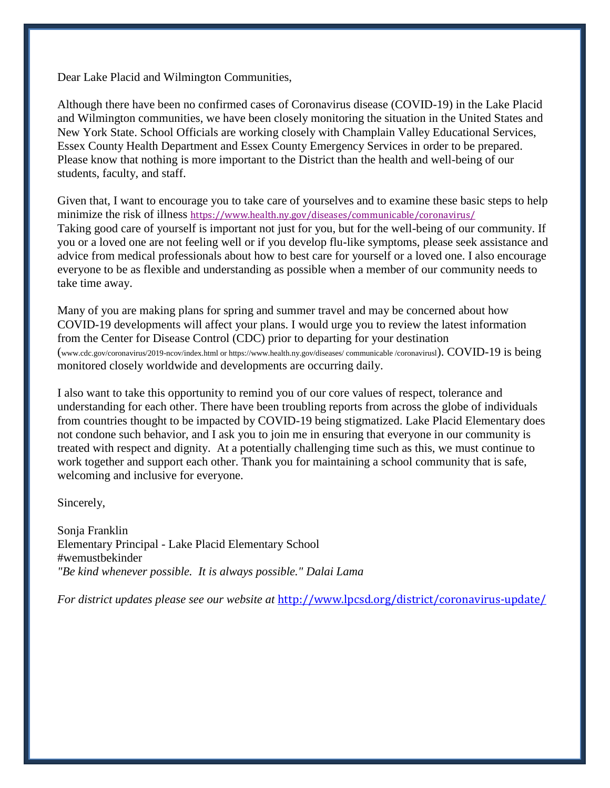Dear Lake Placid and Wilmington Communities,

Although there have been no confirmed cases of Coronavirus disease (COVID-19) in the Lake Placid and Wilmington communities, we have been closely monitoring the situation in the United States and New York State. School Officials are working closely with Champlain Valley Educational Services, Essex County Health Department and Essex County Emergency Services in order to be prepared. Please know that nothing is more important to the District than the health and well-being of our students, faculty, and staff.

Given that, I want to encourage you to take care of yourselves and to examine these basic steps to help minimize the risk of illness <https://www.health.ny.gov/diseases/communicable/coronavirus/> Taking good care of yourself is important not just for you, but for the well-being of our community. If you or a loved one are not feeling well or if you develop flu-like symptoms, please seek assistance and advice from medical professionals about how to best care for yourself or a loved one. I also encourage everyone to be as flexible and understanding as possible when a member of our community needs to take time away.

Many of you are making plans for spring and summer travel and may be concerned about how COVID-19 developments will affect your plans. I would urge you to review the latest information from the Center for Disease Control (CDC) prior to departing for your destination (www.cdc.gov/coronavirus/2019-ncov/index.html or https://www.health.ny.gov/diseases/ communicable /coronavirusl). COVID-19 is being monitored closely worldwide and developments are occurring daily.

I also want to take this opportunity to remind you of our core values of respect, tolerance and understanding for each other. There have been troubling reports from across the globe of individuals from countries thought to be impacted by COVID-19 being stigmatized. Lake Placid Elementary does not condone such behavior, and I ask you to join me in ensuring that everyone in our community is treated with respect and dignity. At a potentially challenging time such as this, we must continue to work together and support each other. Thank you for maintaining a school community that is safe, welcoming and inclusive for everyone.

Sincerely,

Sonja Franklin Elementary Principal - Lake Placid Elementary School #wemustbekinder *"Be kind whenever possible. It is always possible." Dalai Lama*

*For district updates please see our website at* <http://www.lpcsd.org/district/coronavirus-update/>